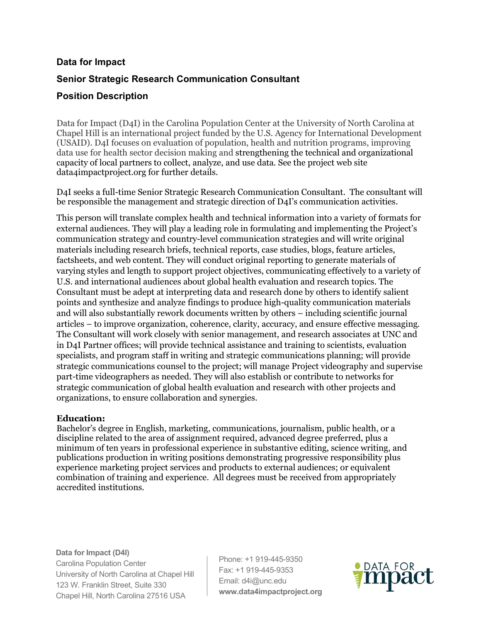## **Data for Impact**

# **Senior Strategic Research Communication Consultant**

## **Position Description**

Data for Impact (D4I) in the Carolina Population Center at the University of North Carolina at Chapel Hill is an international project funded by the U.S. Agency for International Development (USAID). D4I focuses on evaluation of population, health and nutrition programs, improving data use for health sector decision making and strengthening the technical and organizational capacity of local partners to collect, analyze, and use data. See the project web site data4impactproject.org for further details.

D4I seeks a full-time Senior Strategic Research Communication Consultant. The consultant will be responsible the management and strategic direction of D4I's communication activities.

This person will translate complex health and technical information into a variety of formats for external audiences. They will play a leading role in formulating and implementing the Project's communication strategy and country-level communication strategies and will write original materials including research briefs, technical reports, case studies, blogs, feature articles, factsheets, and web content. They will conduct original reporting to generate materials of varying styles and length to support project objectives, communicating effectively to a variety of U.S. and international audiences about global health evaluation and research topics. The Consultant must be adept at interpreting data and research done by others to identify salient points and synthesize and analyze findings to produce high-quality communication materials and will also substantially rework documents written by others – including scientific journal articles – to improve organization, coherence, clarity, accuracy, and ensure effective messaging. The Consultant will work closely with senior management, and research associates at UNC and in D4I Partner offices; will provide technical assistance and training to scientists, evaluation specialists, and program staff in writing and strategic communications planning; will provide strategic communications counsel to the project; will manage Project videography and supervise part-time videographers as needed. They will also establish or contribute to networks for strategic communication of global health evaluation and research with other projects and organizations, to ensure collaboration and synergies.

#### **Education:**

Bachelor's degree in English, marketing, communications, journalism, public health, or a discipline related to the area of assignment required, advanced degree preferred, plus a minimum of ten years in professional experience in substantive editing, science writing, and publications production in writing positions demonstrating progressive responsibility plus experience marketing project services and products to external audiences; or equivalent combination of training and experience. All degrees must be received from appropriately accredited institutions.

**Data for Impact (D4I)** Carolina Population Center University of North Carolina at Chapel Hill 123 W. Franklin Street, Suite 330 Chapel Hill, North Carolina 27516 USA

Phone: +1 919-445-9350 Fax: +1 919-445-9353 Email: d4i@unc.edu **www.data4impactproject.org**